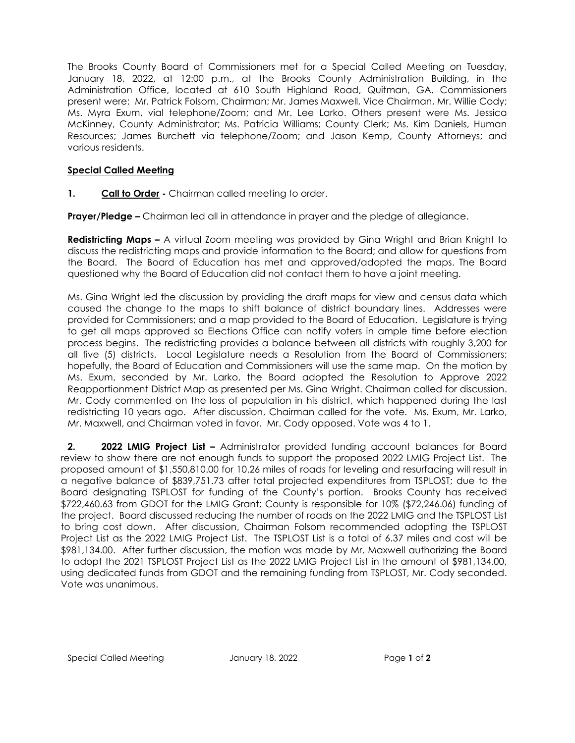The Brooks County Board of Commissioners met for a Special Called Meeting on Tuesday, January 18, 2022, at 12:00 p.m., at the Brooks County Administration Building, in the Administration Office, located at 610 South Highland Road, Quitman, GA. Commissioners present were: Mr. Patrick Folsom, Chairman; Mr. James Maxwell, Vice Chairman, Mr. Willie Cody; Ms. Myra Exum, vial telephone/Zoom; and Mr. Lee Larko. Others present were Ms. Jessica McKinney, County Administrator; Ms. Patricia Williams; County Clerk; Ms. Kim Daniels, Human Resources; James Burchett via telephone/Zoom; and Jason Kemp, County Attorneys; and various residents.

## **Special Called Meeting**

**1. Call to Order -** Chairman called meeting to order.

**Prayer/Pledge –** Chairman led all in attendance in prayer and the pledge of allegiance.

**Redistricting Maps –** A virtual Zoom meeting was provided by Gina Wright and Brian Knight to discuss the redistricting maps and provide information to the Board; and allow for questions from the Board. The Board of Education has met and approved/adopted the maps. The Board questioned why the Board of Education did not contact them to have a joint meeting.

Ms. Gina Wright led the discussion by providing the draft maps for view and census data which caused the change to the maps to shift balance of district boundary lines. Addresses were provided for Commissioners; and a map provided to the Board of Education. Legislature is trying to get all maps approved so Elections Office can notify voters in ample time before election process begins. The redistricting provides a balance between all districts with roughly 3,200 for all five (5) districts. Local Legislature needs a Resolution from the Board of Commissioners; hopefully, the Board of Education and Commissioners will use the same map. On the motion by Ms. Exum, seconded by Mr. Larko, the Board adopted the Resolution to Approve 2022 Reapportionment District Map as presented per Ms. Gina Wright. Chairman called for discussion. Mr. Cody commented on the loss of population in his district, which happened during the last redistricting 10 years ago. After discussion, Chairman called for the vote. Ms. Exum, Mr. Larko, Mr. Maxwell, and Chairman voted in favor. Mr. Cody opposed. Vote was 4 to 1.

**2. 2022 LMIG Project List –** Administrator provided funding account balances for Board review to show there are not enough funds to support the proposed 2022 LMIG Project List. The proposed amount of \$1,550,810.00 for 10.26 miles of roads for leveling and resurfacing will result in a negative balance of \$839,751.73 after total projected expenditures from TSPLOST; due to the Board designating TSPLOST for funding of the County's portion. Brooks County has received \$722,460.63 from GDOT for the LMIG Grant; County is responsible for 10% (\$72,246.06) funding of the project. Board discussed reducing the number of roads on the 2022 LMIG and the TSPLOST List to bring cost down. After discussion, Chairman Folsom recommended adopting the TSPLOST Project List as the 2022 LMIG Project List. The TSPLOST List is a total of 6.37 miles and cost will be \$981,134.00. After further discussion, the motion was made by Mr. Maxwell authorizing the Board to adopt the 2021 TSPLOST Project List as the 2022 LMIG Project List in the amount of \$981,134.00, using dedicated funds from GDOT and the remaining funding from TSPLOST, Mr. Cody seconded. Vote was unanimous.